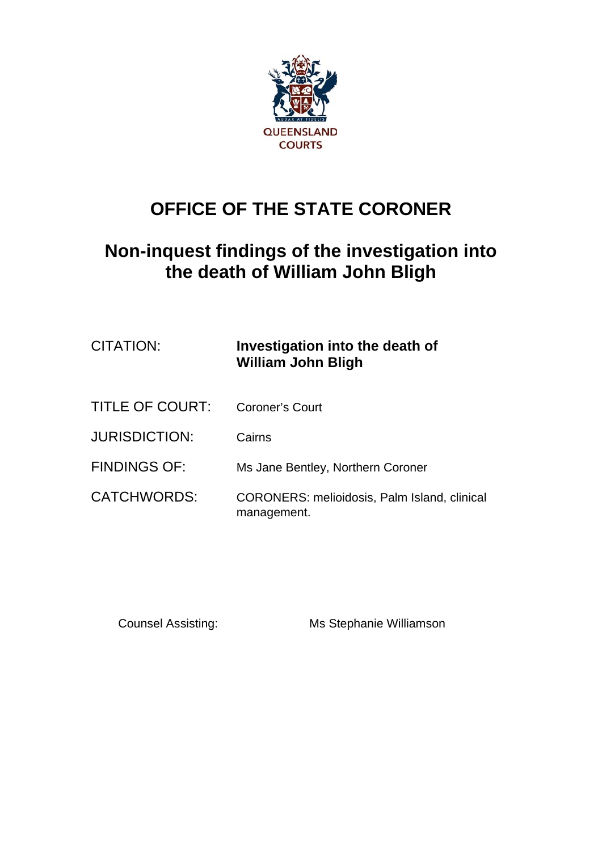

# **OFFICE OF THE STATE CORONER**

# **Non-inquest findings of the investigation into the death of William John Bligh**

| CITATION:            | Investigation into the death of<br><b>William John Bligh</b>       |
|----------------------|--------------------------------------------------------------------|
| TITLE OF COURT:      | Coroner's Court                                                    |
| <b>JURISDICTION:</b> | Cairns                                                             |
| <b>FINDINGS OF:</b>  | Ms Jane Bentley, Northern Coroner                                  |
| <b>CATCHWORDS:</b>   | <b>CORONERS: melioidosis, Palm Island, clinical</b><br>management. |

Counsel Assisting: Ms Stephanie Williamson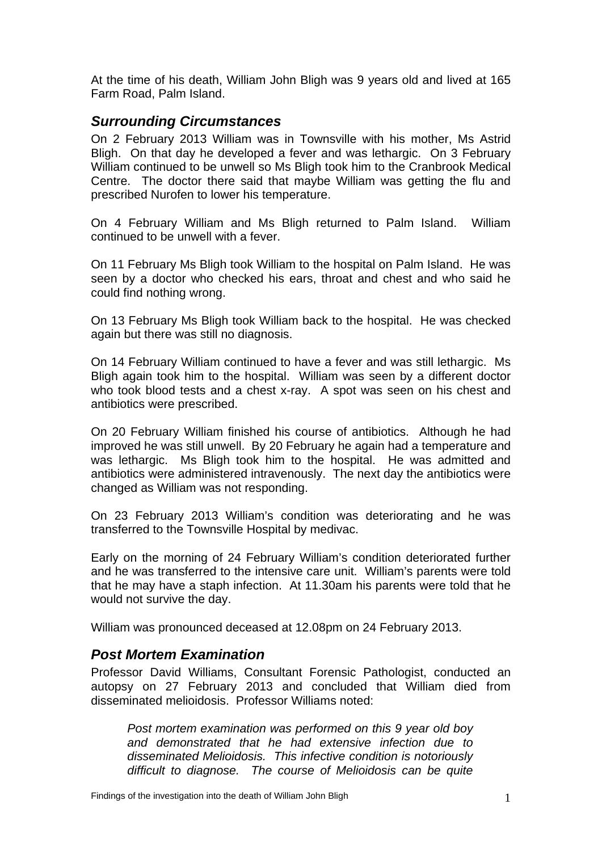At the time of his death, William John Bligh was 9 years old and lived at 165 Farm Road, Palm Island.

# *Surrounding Circumstances*

On 2 February 2013 William was in Townsville with his mother, Ms Astrid Bligh. On that day he developed a fever and was lethargic. On 3 February William continued to be unwell so Ms Bligh took him to the Cranbrook Medical Centre. The doctor there said that maybe William was getting the flu and prescribed Nurofen to lower his temperature.

On 4 February William and Ms Bligh returned to Palm Island. William continued to be unwell with a fever.

On 11 February Ms Bligh took William to the hospital on Palm Island. He was seen by a doctor who checked his ears, throat and chest and who said he could find nothing wrong.

On 13 February Ms Bligh took William back to the hospital. He was checked again but there was still no diagnosis.

On 14 February William continued to have a fever and was still lethargic. Ms Bligh again took him to the hospital. William was seen by a different doctor who took blood tests and a chest x-ray. A spot was seen on his chest and antibiotics were prescribed.

On 20 February William finished his course of antibiotics. Although he had improved he was still unwell. By 20 February he again had a temperature and was lethargic. Ms Bligh took him to the hospital. He was admitted and antibiotics were administered intravenously. The next day the antibiotics were changed as William was not responding.

On 23 February 2013 William's condition was deteriorating and he was transferred to the Townsville Hospital by medivac.

Early on the morning of 24 February William's condition deteriorated further and he was transferred to the intensive care unit. William's parents were told that he may have a staph infection. At 11.30am his parents were told that he would not survive the day.

William was pronounced deceased at 12.08pm on 24 February 2013.

## *Post Mortem Examination*

Professor David Williams, Consultant Forensic Pathologist, conducted an autopsy on 27 February 2013 and concluded that William died from disseminated melioidosis. Professor Williams noted:

*Post mortem examination was performed on this 9 year old boy and demonstrated that he had extensive infection due to disseminated Melioidosis. This infective condition is notoriously difficult to diagnose. The course of Melioidosis can be quite*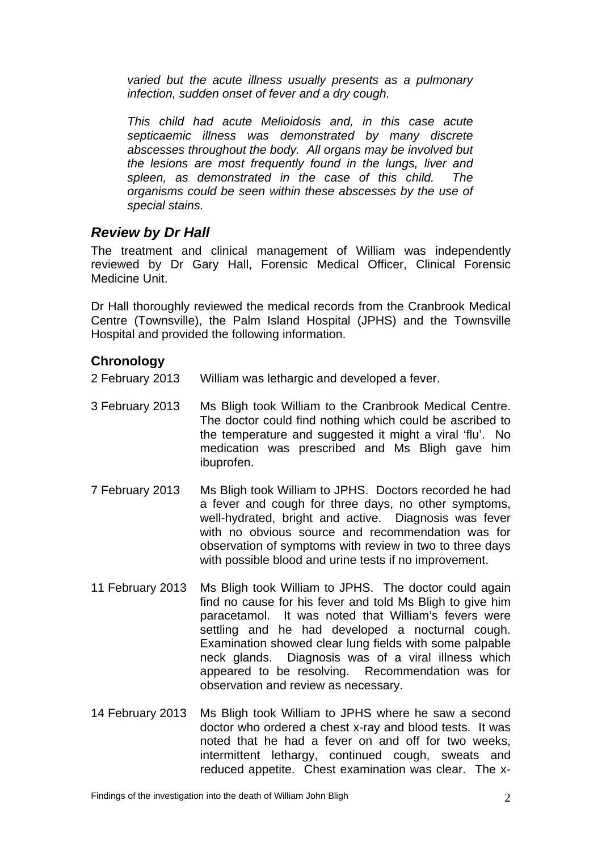*varied but the acute illness usually presents as a pulmonary infection, sudden onset of fever and a dry cough.* 

*This child had acute Melioidosis and, in this case acute septicaemic illness was demonstrated by many discrete abscesses throughout the body. All organs may be involved but the lesions are most frequently found in the lungs, liver and spleen, as demonstrated in the case of this child. The organisms could be seen within these abscesses by the use of special stains.* 

# *Review by Dr Hall*

The treatment and clinical management of William was independently reviewed by Dr Gary Hall, Forensic Medical Officer, Clinical Forensic Medicine Unit.

Dr Hall thoroughly reviewed the medical records from the Cranbrook Medical Centre (Townsville), the Palm Island Hospital (JPHS) and the Townsville Hospital and provided the following information.

# **Chronology**

2 February 2013 William was lethargic and developed a fever.

- 3 February 2013 Ms Bligh took William to the Cranbrook Medical Centre. The doctor could find nothing which could be ascribed to the temperature and suggested it might a viral 'flu'. No medication was prescribed and Ms Bligh gave him ibuprofen.
- 7 February 2013 Ms Bligh took William to JPHS. Doctors recorded he had a fever and cough for three days, no other symptoms, well-hydrated, bright and active. Diagnosis was fever with no obvious source and recommendation was for observation of symptoms with review in two to three days with possible blood and urine tests if no improvement.
- 11 February 2013 Ms Bligh took William to JPHS. The doctor could again find no cause for his fever and told Ms Bligh to give him paracetamol. It was noted that William's fevers were settling and he had developed a nocturnal cough. Examination showed clear lung fields with some palpable neck glands. Diagnosis was of a viral illness which appeared to be resolving. Recommendation was for observation and review as necessary.
- 14 February 2013 Ms Bligh took William to JPHS where he saw a second doctor who ordered a chest x-ray and blood tests. It was noted that he had a fever on and off for two weeks, intermittent lethargy, continued cough, sweats and reduced appetite. Chest examination was clear. The x-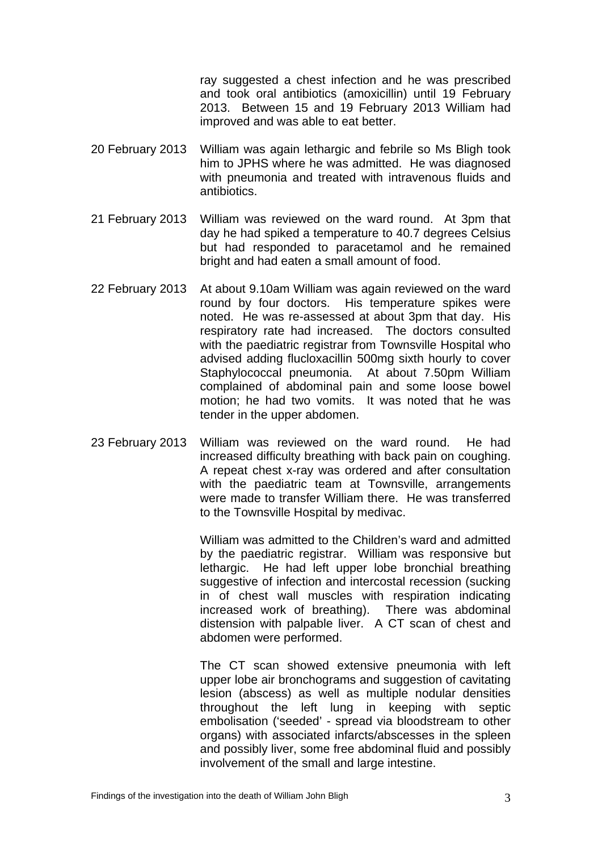ray suggested a chest infection and he was prescribed and took oral antibiotics (amoxicillin) until 19 February 2013. Between 15 and 19 February 2013 William had improved and was able to eat better.

- 20 February 2013 William was again lethargic and febrile so Ms Bligh took him to JPHS where he was admitted. He was diagnosed with pneumonia and treated with intravenous fluids and antibiotics.
- 21 February 2013 William was reviewed on the ward round. At 3pm that day he had spiked a temperature to 40.7 degrees Celsius but had responded to paracetamol and he remained bright and had eaten a small amount of food.
- 22 February 2013 At about 9.10am William was again reviewed on the ward round by four doctors. His temperature spikes were noted. He was re-assessed at about 3pm that day. His respiratory rate had increased. The doctors consulted with the paediatric registrar from Townsville Hospital who advised adding flucloxacillin 500mg sixth hourly to cover Staphylococcal pneumonia. At about 7.50pm William complained of abdominal pain and some loose bowel motion; he had two vomits. It was noted that he was tender in the upper abdomen.
- 23 February 2013 William was reviewed on the ward round. He had increased difficulty breathing with back pain on coughing. A repeat chest x-ray was ordered and after consultation with the paediatric team at Townsville, arrangements were made to transfer William there. He was transferred to the Townsville Hospital by medivac.

William was admitted to the Children's ward and admitted by the paediatric registrar. William was responsive but lethargic. He had left upper lobe bronchial breathing suggestive of infection and intercostal recession (sucking in of chest wall muscles with respiration indicating increased work of breathing). There was abdominal distension with palpable liver. A CT scan of chest and abdomen were performed.

The CT scan showed extensive pneumonia with left upper lobe air bronchograms and suggestion of cavitating lesion (abscess) as well as multiple nodular densities throughout the left lung in keeping with septic embolisation ('seeded' - spread via bloodstream to other organs) with associated infarcts/abscesses in the spleen and possibly liver, some free abdominal fluid and possibly involvement of the small and large intestine.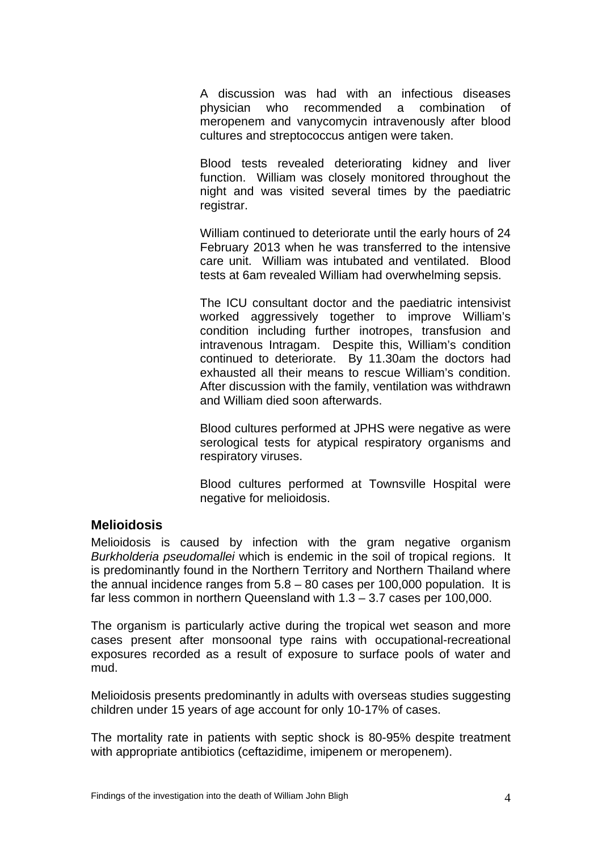A discussion was had with an infectious diseases physician who recommended a combination of meropenem and vanycomycin intravenously after blood cultures and streptococcus antigen were taken.

Blood tests revealed deteriorating kidney and liver function. William was closely monitored throughout the night and was visited several times by the paediatric registrar.

William continued to deteriorate until the early hours of 24 February 2013 when he was transferred to the intensive care unit. William was intubated and ventilated. Blood tests at 6am revealed William had overwhelming sepsis.

The ICU consultant doctor and the paediatric intensivist worked aggressively together to improve William's condition including further inotropes, transfusion and intravenous Intragam. Despite this, William's condition continued to deteriorate. By 11.30am the doctors had exhausted all their means to rescue William's condition. After discussion with the family, ventilation was withdrawn and William died soon afterwards.

Blood cultures performed at JPHS were negative as were serological tests for atypical respiratory organisms and respiratory viruses.

Blood cultures performed at Townsville Hospital were negative for melioidosis.

#### **Melioidosis**

Melioidosis is caused by infection with the gram negative organism *Burkholderia pseudomallei* which is endemic in the soil of tropical regions. It is predominantly found in the Northern Territory and Northern Thailand where the annual incidence ranges from 5.8 – 80 cases per 100,000 population. It is far less common in northern Queensland with 1.3 – 3.7 cases per 100,000.

The organism is particularly active during the tropical wet season and more cases present after monsoonal type rains with occupational-recreational exposures recorded as a result of exposure to surface pools of water and mud.

Melioidosis presents predominantly in adults with overseas studies suggesting children under 15 years of age account for only 10-17% of cases.

The mortality rate in patients with septic shock is 80-95% despite treatment with appropriate antibiotics (ceftazidime, imipenem or meropenem).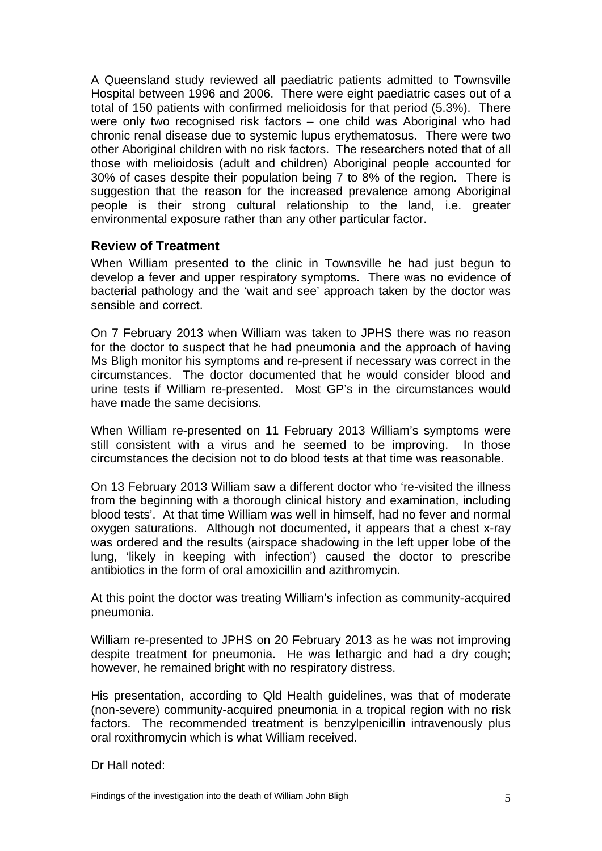A Queensland study reviewed all paediatric patients admitted to Townsville Hospital between 1996 and 2006. There were eight paediatric cases out of a total of 150 patients with confirmed melioidosis for that period (5.3%). There were only two recognised risk factors – one child was Aboriginal who had chronic renal disease due to systemic lupus erythematosus. There were two other Aboriginal children with no risk factors. The researchers noted that of all those with melioidosis (adult and children) Aboriginal people accounted for 30% of cases despite their population being 7 to 8% of the region. There is suggestion that the reason for the increased prevalence among Aboriginal people is their strong cultural relationship to the land, i.e. greater environmental exposure rather than any other particular factor.

#### **Review of Treatment**

When William presented to the clinic in Townsville he had just begun to develop a fever and upper respiratory symptoms. There was no evidence of bacterial pathology and the 'wait and see' approach taken by the doctor was sensible and correct.

On 7 February 2013 when William was taken to JPHS there was no reason for the doctor to suspect that he had pneumonia and the approach of having Ms Bligh monitor his symptoms and re-present if necessary was correct in the circumstances. The doctor documented that he would consider blood and urine tests if William re-presented. Most GP's in the circumstances would have made the same decisions.

When William re-presented on 11 February 2013 William's symptoms were still consistent with a virus and he seemed to be improving. In those circumstances the decision not to do blood tests at that time was reasonable.

On 13 February 2013 William saw a different doctor who 're-visited the illness from the beginning with a thorough clinical history and examination, including blood tests'. At that time William was well in himself, had no fever and normal oxygen saturations. Although not documented, it appears that a chest x-ray was ordered and the results (airspace shadowing in the left upper lobe of the lung, 'likely in keeping with infection') caused the doctor to prescribe antibiotics in the form of oral amoxicillin and azithromycin.

At this point the doctor was treating William's infection as community-acquired pneumonia.

William re-presented to JPHS on 20 February 2013 as he was not improving despite treatment for pneumonia. He was lethargic and had a dry cough; however, he remained bright with no respiratory distress.

His presentation, according to Qld Health guidelines, was that of moderate (non-severe) community-acquired pneumonia in a tropical region with no risk factors. The recommended treatment is benzylpenicillin intravenously plus oral roxithromycin which is what William received.

#### Dr Hall noted: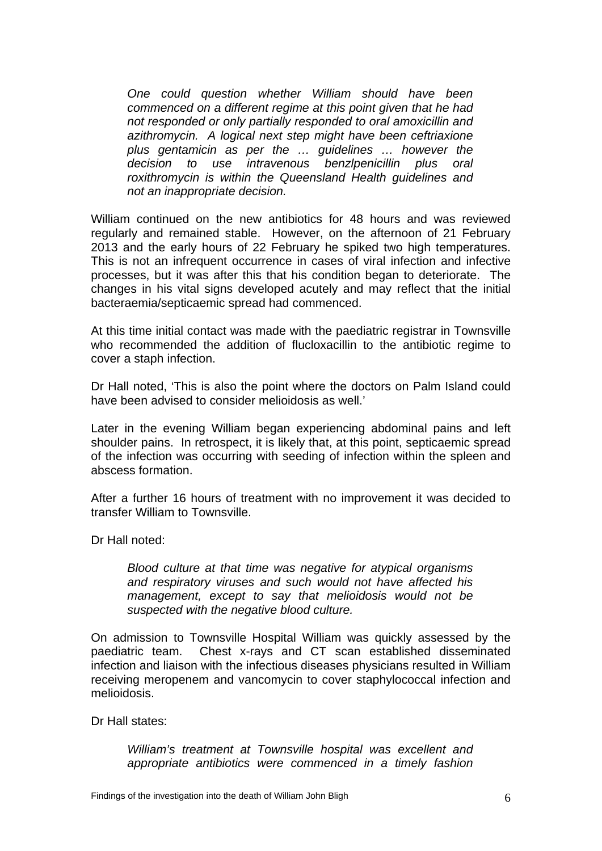*One could question whether William should have been commenced on a different regime at this point given that he had not responded or only partially responded to oral amoxicillin and azithromycin. A logical next step might have been ceftriaxione plus gentamicin as per the … guidelines … however the decision to use intravenous benzlpenicillin plus oral roxithromycin is within the Queensland Health guidelines and not an inappropriate decision.* 

William continued on the new antibiotics for 48 hours and was reviewed regularly and remained stable. However, on the afternoon of 21 February 2013 and the early hours of 22 February he spiked two high temperatures. This is not an infrequent occurrence in cases of viral infection and infective processes, but it was after this that his condition began to deteriorate. The changes in his vital signs developed acutely and may reflect that the initial bacteraemia/septicaemic spread had commenced.

At this time initial contact was made with the paediatric registrar in Townsville who recommended the addition of flucloxacillin to the antibiotic regime to cover a staph infection.

Dr Hall noted, 'This is also the point where the doctors on Palm Island could have been advised to consider melioidosis as well.'

Later in the evening William began experiencing abdominal pains and left shoulder pains. In retrospect, it is likely that, at this point, septicaemic spread of the infection was occurring with seeding of infection within the spleen and abscess formation.

After a further 16 hours of treatment with no improvement it was decided to transfer William to Townsville.

Dr Hall noted:

*Blood culture at that time was negative for atypical organisms and respiratory viruses and such would not have affected his management, except to say that melioidosis would not be suspected with the negative blood culture.* 

On admission to Townsville Hospital William was quickly assessed by the paediatric team. Chest x-rays and CT scan established disseminated infection and liaison with the infectious diseases physicians resulted in William receiving meropenem and vancomycin to cover staphylococcal infection and melioidosis.

Dr Hall states:

*William's treatment at Townsville hospital was excellent and appropriate antibiotics were commenced in a timely fashion*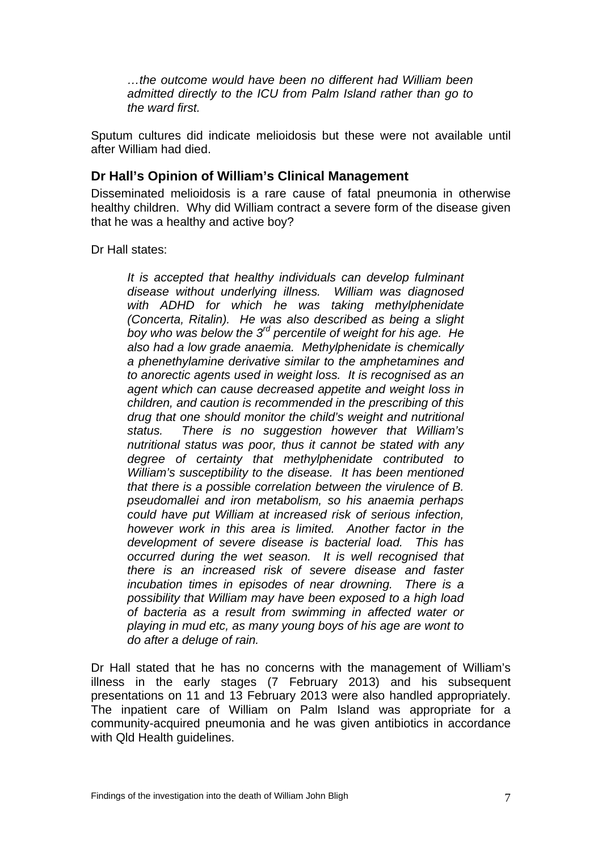*…the outcome would have been no different had William been admitted directly to the ICU from Palm Island rather than go to the ward first.* 

Sputum cultures did indicate melioidosis but these were not available until after William had died.

#### **Dr Hall's Opinion of William's Clinical Management**

Disseminated melioidosis is a rare cause of fatal pneumonia in otherwise healthy children. Why did William contract a severe form of the disease given that he was a healthy and active boy?

Dr Hall states:

*It is accepted that healthy individuals can develop fulminant disease without underlying illness. William was diagnosed with ADHD for which he was taking methylphenidate (Concerta, Ritalin). He was also described as being a slight boy who was below the 3rd percentile of weight for his age. He also had a low grade anaemia. Methylphenidate is chemically a phenethylamine derivative similar to the amphetamines and to anorectic agents used in weight loss. It is recognised as an agent which can cause decreased appetite and weight loss in children, and caution is recommended in the prescribing of this drug that one should monitor the child's weight and nutritional status. There is no suggestion however that William's nutritional status was poor, thus it cannot be stated with any degree of certainty that methylphenidate contributed to William's susceptibility to the disease. It has been mentioned that there is a possible correlation between the virulence of B. pseudomallei and iron metabolism, so his anaemia perhaps could have put William at increased risk of serious infection, however work in this area is limited. Another factor in the development of severe disease is bacterial load. This has occurred during the wet season. It is well recognised that there is an increased risk of severe disease and faster incubation times in episodes of near drowning. There is a possibility that William may have been exposed to a high load of bacteria as a result from swimming in affected water or playing in mud etc, as many young boys of his age are wont to do after a deluge of rain.* 

Dr Hall stated that he has no concerns with the management of William's illness in the early stages (7 February 2013) and his subsequent presentations on 11 and 13 February 2013 were also handled appropriately. The inpatient care of William on Palm Island was appropriate for a community-acquired pneumonia and he was given antibiotics in accordance with Qld Health guidelines.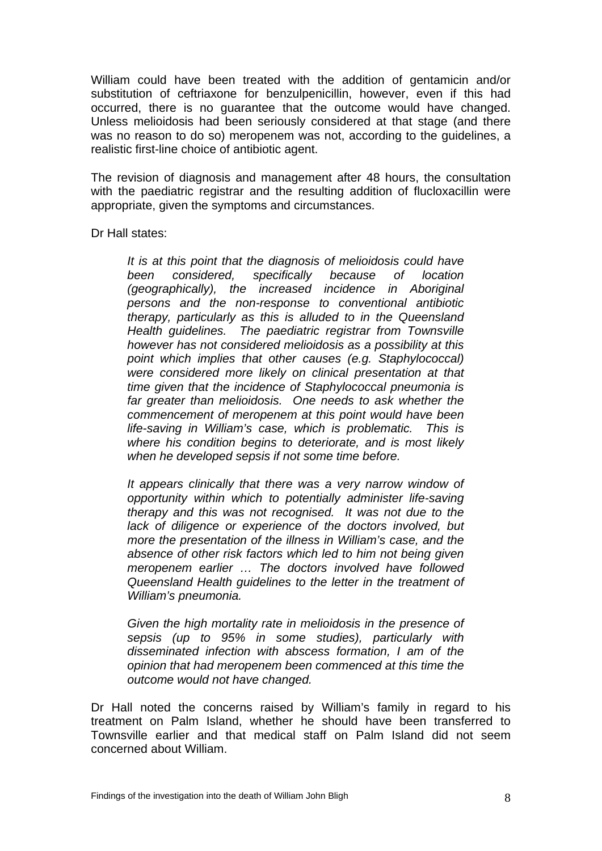William could have been treated with the addition of gentamicin and/or substitution of ceftriaxone for benzulpenicillin, however, even if this had occurred, there is no guarantee that the outcome would have changed. Unless melioidosis had been seriously considered at that stage (and there was no reason to do so) meropenem was not, according to the guidelines, a realistic first-line choice of antibiotic agent.

The revision of diagnosis and management after 48 hours, the consultation with the paediatric registrar and the resulting addition of flucloxacillin were appropriate, given the symptoms and circumstances.

Dr Hall states:

*It is at this point that the diagnosis of melioidosis could have been considered, specifically because of location (geographically), the increased incidence in Aboriginal persons and the non-response to conventional antibiotic therapy, particularly as this is alluded to in the Queensland Health guidelines. The paediatric registrar from Townsville however has not considered melioidosis as a possibility at this point which implies that other causes (e.g. Staphylococcal) were considered more likely on clinical presentation at that time given that the incidence of Staphylococcal pneumonia is far greater than melioidosis. One needs to ask whether the commencement of meropenem at this point would have been life-saving in William's case, which is problematic. This is where his condition begins to deteriorate, and is most likely when he developed sepsis if not some time before.* 

*It appears clinically that there was a very narrow window of opportunity within which to potentially administer life-saving therapy and this was not recognised. It was not due to the lack of diligence or experience of the doctors involved, but more the presentation of the illness in William's case, and the absence of other risk factors which led to him not being given meropenem earlier … The doctors involved have followed Queensland Health guidelines to the letter in the treatment of William's pneumonia.* 

*Given the high mortality rate in melioidosis in the presence of sepsis (up to 95% in some studies), particularly with disseminated infection with abscess formation, I am of the opinion that had meropenem been commenced at this time the outcome would not have changed.* 

Dr Hall noted the concerns raised by William's family in regard to his treatment on Palm Island, whether he should have been transferred to Townsville earlier and that medical staff on Palm Island did not seem concerned about William.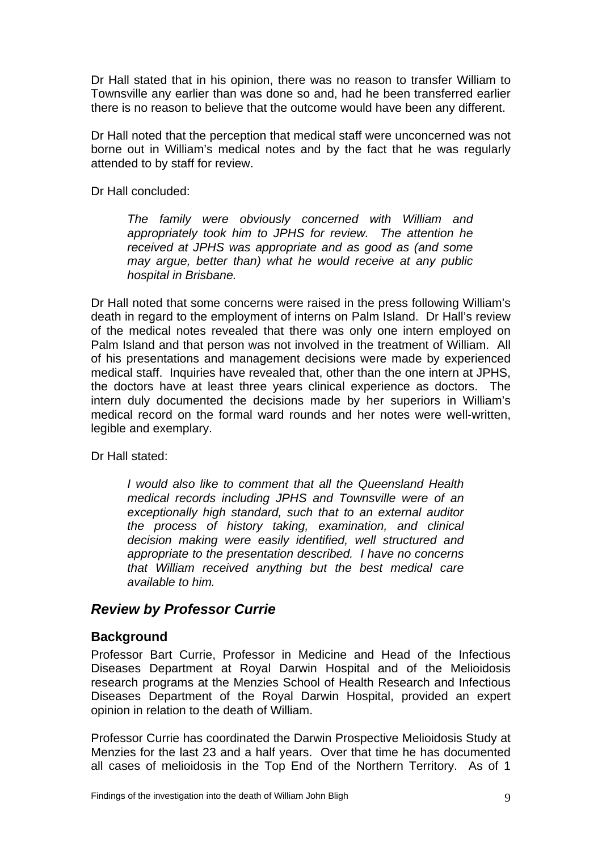Dr Hall stated that in his opinion, there was no reason to transfer William to Townsville any earlier than was done so and, had he been transferred earlier there is no reason to believe that the outcome would have been any different.

Dr Hall noted that the perception that medical staff were unconcerned was not borne out in William's medical notes and by the fact that he was regularly attended to by staff for review.

Dr Hall concluded:

*The family were obviously concerned with William and appropriately took him to JPHS for review. The attention he received at JPHS was appropriate and as good as (and some may argue, better than) what he would receive at any public hospital in Brisbane.* 

Dr Hall noted that some concerns were raised in the press following William's death in regard to the employment of interns on Palm Island. Dr Hall's review of the medical notes revealed that there was only one intern employed on Palm Island and that person was not involved in the treatment of William. All of his presentations and management decisions were made by experienced medical staff. Inquiries have revealed that, other than the one intern at JPHS, the doctors have at least three years clinical experience as doctors. The intern duly documented the decisions made by her superiors in William's medical record on the formal ward rounds and her notes were well-written, legible and exemplary.

Dr Hall stated:

*I would also like to comment that all the Queensland Health medical records including JPHS and Townsville were of an exceptionally high standard, such that to an external auditor the process of history taking, examination, and clinical decision making were easily identified, well structured and appropriate to the presentation described. I have no concerns that William received anything but the best medical care available to him.* 

## *Review by Professor Currie*

#### **Background**

Professor Bart Currie, Professor in Medicine and Head of the Infectious Diseases Department at Royal Darwin Hospital and of the Melioidosis research programs at the Menzies School of Health Research and Infectious Diseases Department of the Royal Darwin Hospital, provided an expert opinion in relation to the death of William.

Professor Currie has coordinated the Darwin Prospective Melioidosis Study at Menzies for the last 23 and a half years. Over that time he has documented all cases of melioidosis in the Top End of the Northern Territory. As of 1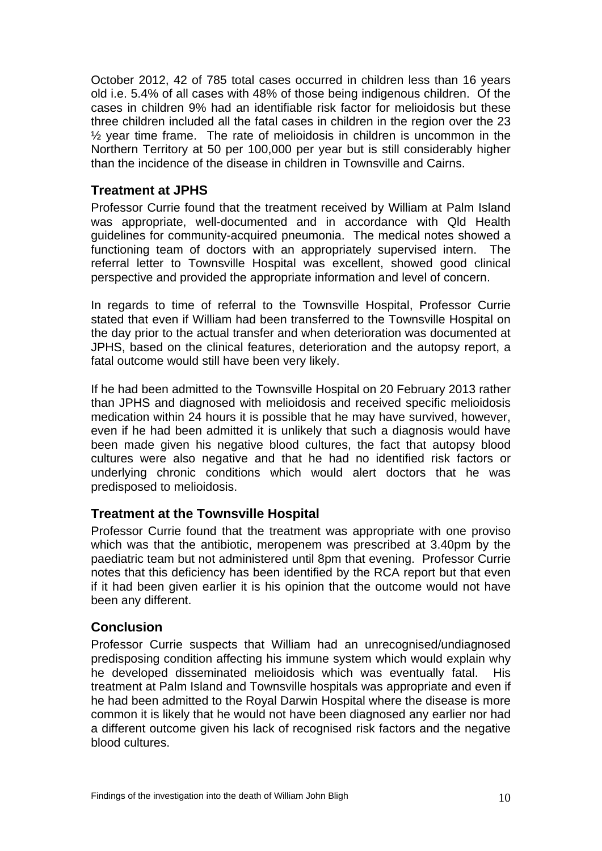October 2012, 42 of 785 total cases occurred in children less than 16 years old i.e. 5.4% of all cases with 48% of those being indigenous children. Of the cases in children 9% had an identifiable risk factor for melioidosis but these three children included all the fatal cases in children in the region over the 23 ½ year time frame. The rate of melioidosis in children is uncommon in the Northern Territory at 50 per 100,000 per year but is still considerably higher than the incidence of the disease in children in Townsville and Cairns.

## **Treatment at JPHS**

Professor Currie found that the treatment received by William at Palm Island was appropriate, well-documented and in accordance with Qld Health guidelines for community-acquired pneumonia. The medical notes showed a functioning team of doctors with an appropriately supervised intern. The referral letter to Townsville Hospital was excellent, showed good clinical perspective and provided the appropriate information and level of concern.

In regards to time of referral to the Townsville Hospital, Professor Currie stated that even if William had been transferred to the Townsville Hospital on the day prior to the actual transfer and when deterioration was documented at JPHS, based on the clinical features, deterioration and the autopsy report, a fatal outcome would still have been very likely.

If he had been admitted to the Townsville Hospital on 20 February 2013 rather than JPHS and diagnosed with melioidosis and received specific melioidosis medication within 24 hours it is possible that he may have survived, however, even if he had been admitted it is unlikely that such a diagnosis would have been made given his negative blood cultures, the fact that autopsy blood cultures were also negative and that he had no identified risk factors or underlying chronic conditions which would alert doctors that he was predisposed to melioidosis.

## **Treatment at the Townsville Hospital**

Professor Currie found that the treatment was appropriate with one proviso which was that the antibiotic, meropenem was prescribed at 3.40pm by the paediatric team but not administered until 8pm that evening. Professor Currie notes that this deficiency has been identified by the RCA report but that even if it had been given earlier it is his opinion that the outcome would not have been any different.

#### **Conclusion**

Professor Currie suspects that William had an unrecognised/undiagnosed predisposing condition affecting his immune system which would explain why he developed disseminated melioidosis which was eventually fatal. His treatment at Palm Island and Townsville hospitals was appropriate and even if he had been admitted to the Royal Darwin Hospital where the disease is more common it is likely that he would not have been diagnosed any earlier nor had a different outcome given his lack of recognised risk factors and the negative blood cultures.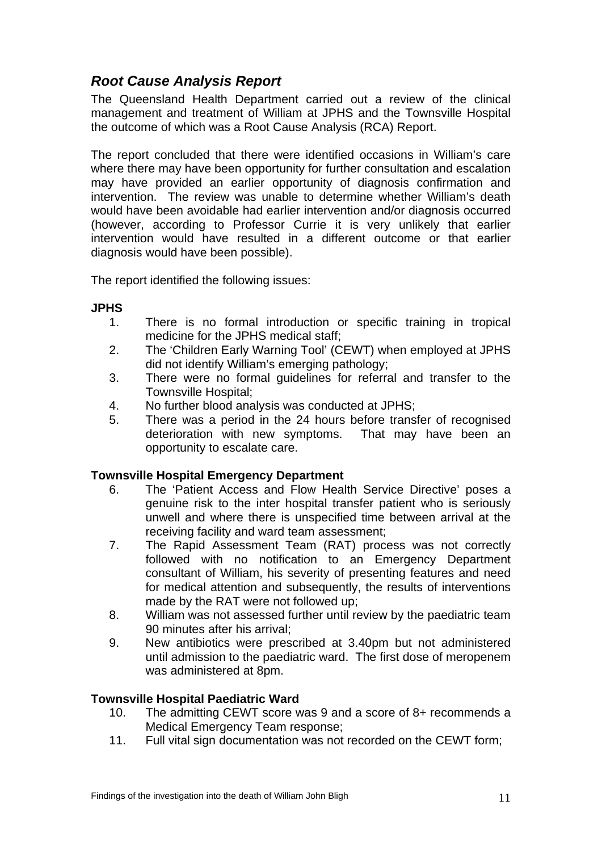# *Root Cause Analysis Report*

The Queensland Health Department carried out a review of the clinical management and treatment of William at JPHS and the Townsville Hospital the outcome of which was a Root Cause Analysis (RCA) Report.

The report concluded that there were identified occasions in William's care where there may have been opportunity for further consultation and escalation may have provided an earlier opportunity of diagnosis confirmation and intervention. The review was unable to determine whether William's death would have been avoidable had earlier intervention and/or diagnosis occurred (however, according to Professor Currie it is very unlikely that earlier intervention would have resulted in a different outcome or that earlier diagnosis would have been possible).

The report identified the following issues:

#### **JPHS**

- 1. There is no formal introduction or specific training in tropical medicine for the JPHS medical staff;
- 2. The 'Children Early Warning Tool' (CEWT) when employed at JPHS did not identify William's emerging pathology;
- 3. There were no formal guidelines for referral and transfer to the Townsville Hospital;
- 4. No further blood analysis was conducted at JPHS;
- 5. There was a period in the 24 hours before transfer of recognised deterioration with new symptoms. That may have been an opportunity to escalate care.

## **Townsville Hospital Emergency Department**

- 6. The 'Patient Access and Flow Health Service Directive' poses a genuine risk to the inter hospital transfer patient who is seriously unwell and where there is unspecified time between arrival at the receiving facility and ward team assessment;
- 7. The Rapid Assessment Team (RAT) process was not correctly followed with no notification to an Emergency Department consultant of William, his severity of presenting features and need for medical attention and subsequently, the results of interventions made by the RAT were not followed up;
- 8. William was not assessed further until review by the paediatric team 90 minutes after his arrival;
- 9. New antibiotics were prescribed at 3.40pm but not administered until admission to the paediatric ward. The first dose of meropenem was administered at 8pm.

## **Townsville Hospital Paediatric Ward**

- 10. The admitting CEWT score was 9 and a score of 8+ recommends a Medical Emergency Team response;
- 11. Full vital sign documentation was not recorded on the CEWT form;